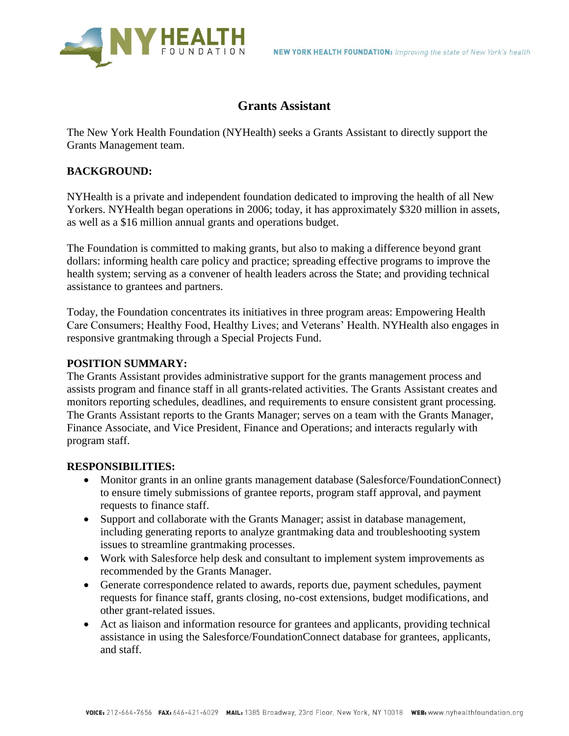

# **Grants Assistant**

The New York Health Foundation (NYHealth) seeks a Grants Assistant to directly support the Grants Management team.

### **BACKGROUND:**

NYHealth is a private and independent foundation dedicated to improving the health of all New Yorkers. NYHealth began operations in 2006; today, it has approximately \$320 million in assets, as well as a \$16 million annual grants and operations budget.

The Foundation is committed to making grants, but also to making a difference beyond grant dollars: informing health care policy and practice; spreading effective programs to improve the health system; serving as a convener of health leaders across the State; and providing technical assistance to grantees and partners.

Today, the Foundation concentrates its initiatives in three program areas: Empowering Health Care Consumers; Healthy Food, Healthy Lives; and Veterans' Health. NYHealth also engages in responsive grantmaking through a Special Projects Fund.

### **POSITION SUMMARY:**

The Grants Assistant provides administrative support for the grants management process and assists program and finance staff in all grants-related activities. The Grants Assistant creates and monitors reporting schedules, deadlines, and requirements to ensure consistent grant processing. The Grants Assistant reports to the Grants Manager; serves on a team with the Grants Manager, Finance Associate, and Vice President, Finance and Operations; and interacts regularly with program staff.

#### **RESPONSIBILITIES:**

- Monitor grants in an online grants management database (Salesforce/FoundationConnect) to ensure timely submissions of grantee reports, program staff approval, and payment requests to finance staff.
- Support and collaborate with the Grants Manager; assist in database management, including generating reports to analyze grantmaking data and troubleshooting system issues to streamline grantmaking processes.
- Work with Salesforce help desk and consultant to implement system improvements as recommended by the Grants Manager.
- Generate correspondence related to awards, reports due, payment schedules, payment requests for finance staff, grants closing, no-cost extensions, budget modifications, and other grant-related issues.
- Act as liaison and information resource for grantees and applicants, providing technical assistance in using the Salesforce/FoundationConnect database for grantees, applicants, and staff.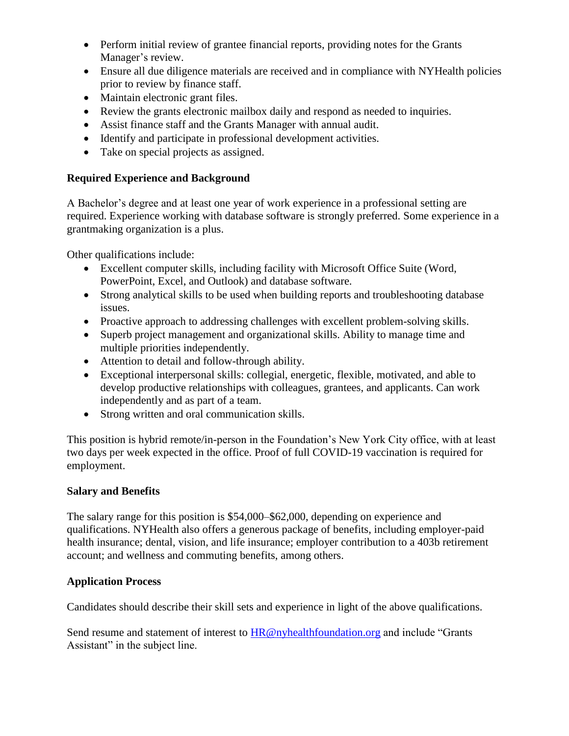- Perform initial review of grantee financial reports, providing notes for the Grants Manager's review.
- Ensure all due diligence materials are received and in compliance with NYHealth policies prior to review by finance staff.
- Maintain electronic grant files.
- Review the grants electronic mailbox daily and respond as needed to inquiries.
- Assist finance staff and the Grants Manager with annual audit.
- Identify and participate in professional development activities.
- Take on special projects as assigned.

## **Required Experience and Background**

A Bachelor's degree and at least one year of work experience in a professional setting are required. Experience working with database software is strongly preferred. Some experience in a grantmaking organization is a plus.

Other qualifications include:

- Excellent computer skills, including facility with Microsoft Office Suite (Word, PowerPoint, Excel, and Outlook) and database software.
- Strong analytical skills to be used when building reports and troubleshooting database issues.
- Proactive approach to addressing challenges with excellent problem-solving skills.
- Superb project management and organizational skills. Ability to manage time and multiple priorities independently.
- Attention to detail and follow-through ability.
- Exceptional interpersonal skills: collegial, energetic, flexible, motivated, and able to develop productive relationships with colleagues, grantees, and applicants. Can work independently and as part of a team.
- Strong written and oral communication skills.

This position is hybrid remote/in-person in the Foundation's New York City office, with at least two days per week expected in the office. Proof of full COVID-19 vaccination is required for employment.

## **Salary and Benefits**

The salary range for this position is \$54,000–\$62,000, depending on experience and qualifications. NYHealth also offers a generous package of benefits, including employer-paid health insurance; dental, vision, and life insurance; employer contribution to a 403b retirement account; and wellness and commuting benefits, among others.

## **Application Process**

Candidates should describe their skill sets and experience in light of the above qualifications.

Send resume and statement of interest to  $HR@ny$  health foundation.org and include "Grants" Assistant" in the subject line.